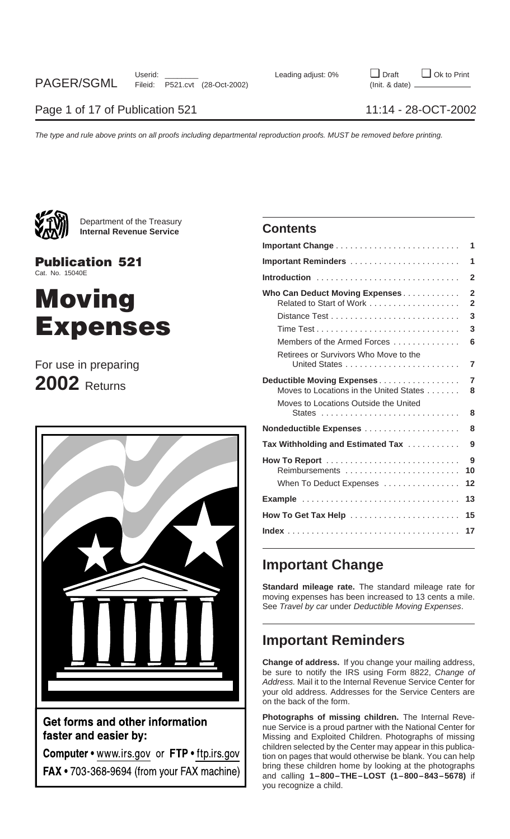

Department of the Treasury **Internal Revenue Service Contents**

# **Moving** Expenses



Get forms and other information faster and easier by:

Computer . www.irs.gov or FTP . ftp.irs.gov FAX • 703-368-9694 (from your FAX machine)

| <b>Publication 521</b> |                                                                           |  |
|------------------------|---------------------------------------------------------------------------|--|
| Cat. No. 15040E        |                                                                           |  |
| Moving                 | Who Can Deduct Moving Expenses 2<br>Related to Start of Work 2            |  |
|                        |                                                                           |  |
| <b>Expenses</b>        |                                                                           |  |
|                        | Members of the Armed Forces 6                                             |  |
| For use in preparing   | Retirees or Survivors Who Move to the                                     |  |
| $2002$ Returns         | Deductible Moving Expenses 7<br>Moves to Locations in the United States 8 |  |
|                        | Moves to Locations Outside the United                                     |  |
|                        |                                                                           |  |
|                        |                                                                           |  |
|                        | Reimbursements  10<br>When To Deduct Expenses 12                          |  |
|                        |                                                                           |  |
|                        |                                                                           |  |
|                        |                                                                           |  |

## **Important Change**

**Standard mileage rate.** The standard mileage rate for moving expenses has been increased to 13 cents a mile. See Travel by car under Deductible Moving Expenses.

## **Important Reminders**

**Change of address.** If you change your mailing address, be sure to notify the IRS using Form 8822, Change of Address. Mail it to the Internal Revenue Service Center for your old address. Addresses for the Service Centers are on the back of the form.

**Photographs of missing children.** The Internal Revenue Service is a proud partner with the National Center for Missing and Exploited Children. Photographs of missing children selected by the Center may appear in this publication on pages that would otherwise be blank. You can help bring these children home by looking at the photographs and calling **1–800–THE–LOST (1–800–843–5678)** if you recognize a child.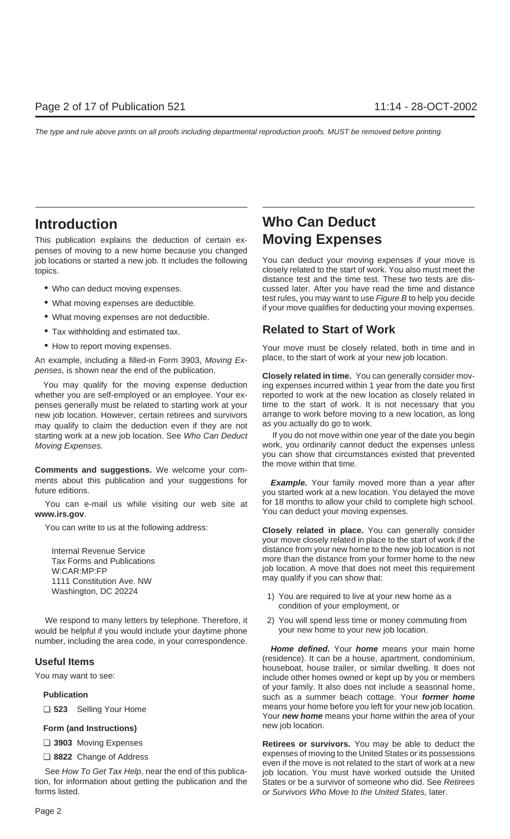This publication explains the deduction of certain ex- **Moving Expenses** penses of moving to a new home because you changed job locations or started a new job. It includes the following You can deduct your moving expenses if your move is topics. closely related to the start of work. You also must meet the

- 
- 
- What moving expenses are not deductible.
- 
- 

An example, including a filled-in Form 3903, Moving  $Ex-$  place, to the start of work at your new job location.

whether you are self-employed or an employee. Your ex- reported to work at the new location as closely related in penses generally must be related to starting work at your time to the start of work. It is not necessary that you new job location. However, certain retirees and survivors arrange to work before moving to a new location, as long may qualify to claim the deduction even if they are not as you actually do go to work. starting work at a new job location. See Who Can Deduct If you do not move within one year of the date you begin Moving Expenses. Work, you ordinarily cannot deduct the expenses unless

**Comments and suggestions.** We welcome your comments about this publication and your suggestions for<br>future editions.<br>you started work at a new location. You delayed the move

**www.irs.gov. www.irs.gov. www.irs.gov.** 2012. The Section of Province of Province and Province of Province of Province of Province of Province of Province of Province of Province of Province of Province of Province of

may qualify if you can show that: 1111 Constitution Ave. NW

We respond to many letters by telephone. Therefore, it 2) You will spend less time or money commuting from would be helpful if you would include your daytime phone your new home to your new job location. number, including the area code, in your correspondence.

## Form (and Instructions) **Form (and Instructions) Form (and Instructions)**

forms listed. or Survivors Who Move to the United States, later.

# **Introduction Who Can Deduct**

distance test and the time test. These two tests are dis- • Who can deduct moving expenses.<br>
experience and distance the time and distance test rules, you may want to use Figure B to help you decide • What moving expenses are deductible.<br>if your move qualifies for deducting your moving expenses.

## • Tax withholding and estimated tax. **Related to Start of Work**

• How to report moving expenses. The state of the Your move must be closely related, both in time and in

penses, is shown near the end of the publication. **Closely related in time.** You can generally consider moving expenses incurred within 1 year from the date you first

> you can show that circumstances existed that prevented the move within that time.

You can e-mail us while visiting our web site at for 18 months to allow your child to complete high school.

You can write to us at the following address: **Closely related in place.** You can generally consider your move closely related in place to the start of work if the Internal Revenue Service **Exercise 19 and 19 and 19 and 19 and 19 and 19 and 10** distance from your new home to the new job location is not Tax Forms and Publications more than the distance from your former home to the new W:CAR:MP:FP **interpretatal contract the set of the set of the set of the set of the set of the set of the set of the set of the set of the set of the set of the set of the set of the set of the set of the set of the set of** 

- Washington, DC 20224 1) You are required to live at your new home as a condition of your employment, or
	-

**Home defined.** Your **home** means your main home **Useful Items**<br> **Useful Items**<br>
You may want to see:<br>
You may want to see:<br>
You may want to see:<br>
You may want to see: include other homes owned or kept up by you or members of your family. It also does not include a seasonal home, **Publication Example 2018** Such as a summer beach cottage. Your **former home** ❏ means your home before you left for your new job location. **<sup>523</sup>** Selling Your Home Your **new home** means your home within the area of your

❏ **3903** Moving Expenses **Retirees or survivors.** You may be able to deduct the expenses of moving to the United States or its possessions ❏ **<sup>8822</sup>** Change of Address even if the move is not related to the start of work at a new See How To Get Tax Help, near the end of this publica-<br>job location. You must have worked outside the United the United tion, for information about getting the publication and the States or be a survivor of someone who did. See Retirees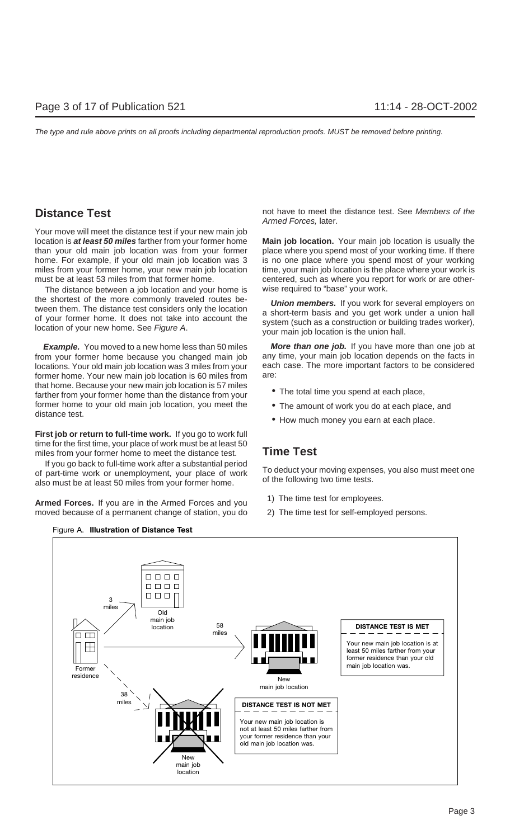Your move will meet the distance test if your new main job location is **at least 50 miles** farther from your former home **Main job location.** Your main job location is usually the than your old main job location was from your former place where you spend most of your working time. If there home. For example, if your old main job location was 3 is no one place where you spend most of your working miles from your former home, your new main job location time, your main job location is the place where your work is

The distance between a job location and your home is wise required to "base" your work.

from your former home because you changed main job any time, your main job location depends on the facts in locations. Your old main job location was 3 miles from your each case. The more important factors to be considered former home. Your new main job location is 60 miles from are: that home. Because your new main job location is 57 miles • The total time you spend at each place, farther from your former home than the distance from your former home to your old main job location, you meet the • The amount of work you do at each place, and distance test.

**First job or return to full-time work.** If you go to work full time for the first time, your place of work must be at least 50 miles from your former home to meet the distance test. **Time Test** 

If you go back to full-time work after a substantial period<br>of part-time work or unemployment, your place of work<br>also must be at least 50 miles from your former home.<br>of the following two time tests.

Armed Forces. If you are in the Armed Forces and you and the time test for employees. moved because of a permanent change of station, you do 2) The time test for self-employed persons.

**Distance Test not have to meet the distance test. See Members of the** Armed Forces, later.

must be at least 53 miles from that former home. centered, such as where you report for work or are other-

the shortest of the more commonly traveled routes be-<br>tween them. The distance test considers only the location<br>of your former home. It does not take into account the<br>location of your new home. See Figure A.<br>your main job

**Example.** You moved to a new home less than 50 miles **More than one job.** If you have more than one job at

- 
- 
- How much money you earn at each place.

- 
- 



## Figure A. **Illustration of Distance Test**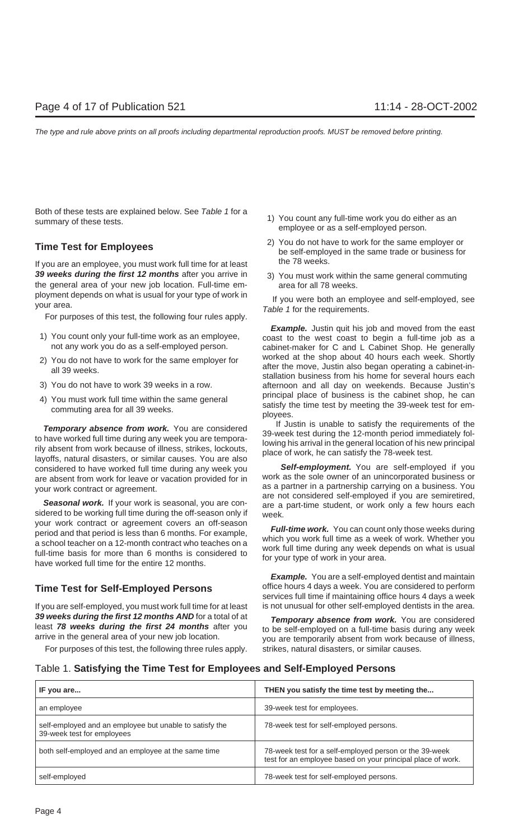Both of these tests are explained below. See Table 1 for a

If you are an employee, you must work full time for at least the 78 weeks. **39 weeks during the first 12 months** after you arrive in 3) You must work within the same general commuting the general area of your new job location. Full-time em- area for all 78 weeks.

- 
- 
- 
- 

**Temporary absence from work.** You are considered<br>to have worked full time during any week you are tempora-<br>rily absent from work because of illness, strikes, lockouts,<br>layoffs, natural disasters, or similar causes. You ar considered to have worked full time during any week you **Self-employment.** You are self-employed if you are absent from work for leave or vacation provided for in work as the sole owner of an unincorporated business or

sidered to be working full time during the off-season only if week.<br>your work contract or agreement covers an off-season your work contract or agreement covers an off-season<br>period and that period is less than 6 months. For example,<br>a school teacher on a 12-month contract who teaches on a<br>full-time as a week of work. Whether you<br>full-time ba

If you are self-employed, you must work full time for at least is not unusual for other self-employed dentists in the area. **39 weeks during the first 12 months AND** for a total of at **Temporary absence from work.** You are considered

For purposes of this test, the following three rules apply. strikes, natural disasters, or similar causes.

- 1) You count any full-time work you do either as an<br>employee or as a self-employed person.
- **2)** You do not have to work for the same employer or **Time Test for Employees** be self-employed in the same trade or business for
	-

ployment depends on what is usual for your type of work in<br>
you were both an employee and self-employed, see<br>
For purposes of this test, the following four rules apply.<br>
For purposes of this test, the following four rules

**Example.** Justin quit his job and moved from the east 1) You count only your full-time work as an employee, coast to the west coast to begin a full-time job as a<br>not any work you do as a self-employed person. cabinet-maker for C and L Cabinet Shop. He generally cabinet-maker for C and L Cabinet Shop. He generally 2) You do not have to work for the same employer for<br>all 39 weeks. Shortly after the move, Justin also began operating a cabinet-in-<br>stallation business from his home for several hours each<br>3) You do not have to work 39 we afternoon and all day on weekends. Because Justin's 4) You must work full time within the same general principal place of business is the cabinet shop, he can satisfy the time test by meeting the 39-week test for em-<br>ployees.

your work contract or agreement.<br>as a partner in a partnership carrying on a business. You<br>are not considered self-employed if you are semiretired,<br>**Seasonal work.** If your work is seasonal, you are con-<br>are a part-time st

**Example.** You are a self-employed dentist and maintain **Time Test for Self-Employed Persons** office hours 4 days a week. You are considered to perform services full time if maintaining office hours 4 days a week

least 78 weeks during the first 24 months after you to be self-employed on a full-time basis during any week<br>arrive in the general area of your new job location.

## Table 1. **Satisfying the Time Test for Employees and Self-Employed Persons**

| IF you are                                                                            | THEN you satisfy the time test by meeting the                                                                         |
|---------------------------------------------------------------------------------------|-----------------------------------------------------------------------------------------------------------------------|
| an employee                                                                           | 39-week test for employees.                                                                                           |
| self-employed and an employee but unable to satisfy the<br>39-week test for employees | 78-week test for self-employed persons.                                                                               |
| both self-employed and an employee at the same time                                   | 78-week test for a self-employed person or the 39-week<br>test for an employee based on your principal place of work. |
| self-employed                                                                         | 78-week test for self-employed persons.                                                                               |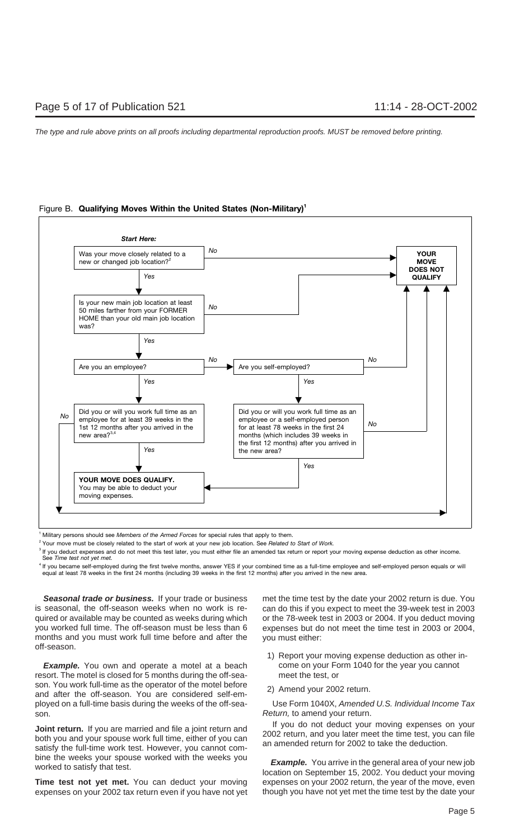

<sup>1</sup> Military persons should see *Members of the Armed Forces* for special rules that apply to them.

<sup>2</sup> Your move must be closely related to the start of work at your new job location. See *Related to Start of Work.*

 $3$  If you deduct expenses and do not meet this test later, you must either file an amended tax return or report your moving expense deduction as other income. See *Time test not yet met.*

<sup>4</sup> If you became self-employed during the first twelve months, answer YES if your combined time as a full-time employee and self-employed person equals or will equal at least 78 weeks in the first 24 months (including 39 weeks in the first 12 months) after you arrived in the new area.

is seasonal, the off-season weeks when no work is re- can do this if you expect to meet the 39-week test in 2003 quired or available may be counted as weeks during which or the 78-week test in 2003 or 2004. If you deduct moving you worked full time. The off-season must be less than 6 expenses but do not meet the time test in 2003 or 2004, months and you must work full time before and after the you must either: off-season.

**Example.** You own and operate a motel at a beach come on your Form 1040 for the year you cannot resort. The motel is closed for 5 months during the off-sea- meet the test, or son. You work full-time as the operator of the motel before 2) Amend your 2002 return.<br>and after the off-season. You are considered self-employed on a full-time basis during the weeks of the off-sea- Use Form 1040X, Amended U.S. Individual Income Tax son. Son. **Return, to amend your return.** 

bine the weeks your spouse worked with the weeks you<br>**Example.** You arrive in the general area of your new job<br>location on September 15, 2002. You deduct your moving

**Time test not yet met.** You can deduct your moving expenses on your 2002 return, the year of the move, even expenses on your 2002 tax return even if you have not yet though you have not yet met the time test by the date your

**Seasonal trade or business.** If your trade or business met the time test by the date your 2002 return is due. You

- 1) Report your moving expense deduction as other in-
- 

**Joint return.** If you are married and file a joint return and<br>both you and your spouse work full time, either of you can<br>satisfy the full-time work test. However, you cannot com-<br>an amended return for 2002 to take the ded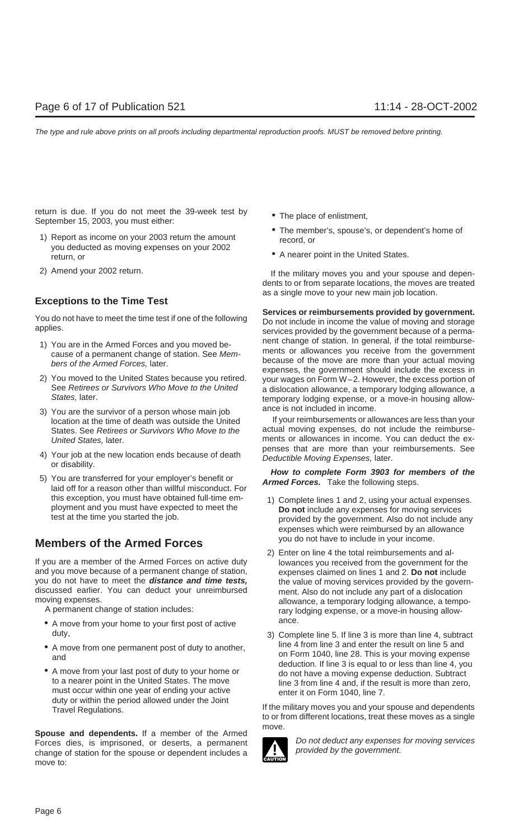return is due. If you do not meet the 39-week test by <br>September 15, 2003, you must either:

- The member's, spouse's, or dependent's home of 1) Report as income on your 2003 return the amount record, or you deducted as moving expenses on your 2002 A nearer point in the United States. return, or
- 

## **Exceptions to the Time Test**

Services or reimbursements provided by government.<br>You do not have to meet the time test if one of the following<br>services provided by the government because of a perma-<br>services provided by the government because of a perm

- 
- 
- ance is not included in income. 3) You are the survivor of a person whose main job
- 4) Your job at the new location ends because of death Deductible Moving Expenses, later. or disability.
- 

## you do not have to include in your income. **Members of the Armed Forces**

If you are a member of the Armed Forces on active duty lowances you received from the government for the and you move because of a permanent change of station, expenses claimed on lines 1 and 2. **Do not** include you do not have to meet the **distance and time tests,** the value of moving services provided by the governdiscussed earlier. You can deduct your unreimbursed ment. Also do not include any part of a dislocation

- A move from your home to your first post of active ance.
- 
- must occur within one year of ending your active enter it on Form 1040, line 7.<br>duty or within the period allowed under the Joint

**Spouse and dependents.** If a member of the Armed Forces dies, is imprisoned, or deserts, a permanent Do not deduct any expenses for moving services<br>change of station for the spouse or dependent includes a provided by the government. change of station for the spouse or dependent includes a move to:

- 
- 
- 

2) Amend your 2002 return. The military moves you and your spouse and dependents to or from separate locations, the moves are treated as a single move to your new main job location.

1) You are in the Armed Forces and you moved be-<br>cause of a permanent change of station. See *Mem*-<br>bers of the Armed Forces, later.<br>bers of the Armed Forces, later.<br>bers of the Armed Forces, later.<br>cause of the move are m 2) You moved to the United States because you retired. your wages on Form W–2. However, the excess portion of See Retirees or Survivors Who Move to the United a dislocation allowance, a temporary lodging allowance, a<br>States later a move-in bousing allowtemporary lodging expense, or a move-in housing allow-

If your reimbursements or allowances are less than your location at the time of death was outside the United I States. See Retirees or Survivors Who Move to the actual moving expenses, do not include the reimburse-United States, later.<br>
United States, later.<br>
United States, later.<br>
United States, later.

# **How to complete Form 3903 for members of the** 5) You are transferred for your employer's benefit or **Armed Forces.** Take the following steps. laid off for a reason other than willful misconduct. For

- this exception, you must have obtained full-time em-<br>ployment and you must have expected to meet the<br>test at the time you started the job.<br>test at the time you started the job.<br>provided by the government. Also do not inclu expenses which were reimbursed by an allowance
- 2) Enter on line 4 the total reimbursements and aloving expenses.<br>A permanent change of station includes: a state of the state of a temporary lodging expense, or a move-in housing allowrary lodging expense, or a move-in housing allow-
- duty, 3) Complete line 5. If line 3 is more than line 4, subtract • A move from one permanent post of duty to another, line 4 from line 3 and enter the result on line 5 and enter the result on line 5 and on Form 1040, line 28. This is your moving expense deduction. If line 3 is equal to • A move from your last post of duty to your home or do not have a moving expense deduction. Subtract to a nearer point in the United States. The move line 3 from line 4 and, if the result is more than zero,

Travel Regulations.<br>Travel Regulations. Travel Regulations.<br>to or from different locations, treat these moves as a single move.

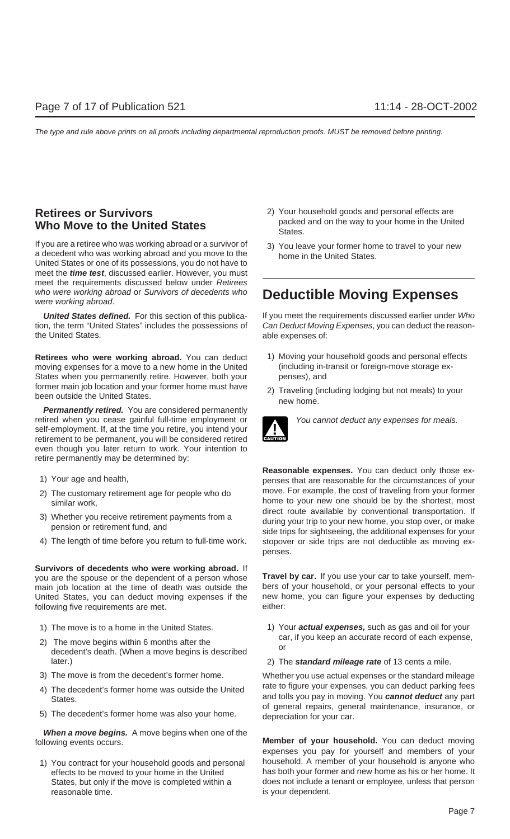# **Who Move to the United States**

If you are a retiree who was working abroad or a survivor of 3) You leave your former home to travel to your new a decedent who was working abroad and you move to the home in the United States. United States or one of its possessions, you do not have to meet the **time test**, discussed earlier. However, you must meet the requirements discussed below under Retirees who were working abroad or Survivors of decedents who **Deductible Moving Expenses**<br>were working abroad.

the United States. The United States of:

moving expenses for a move to a new home in the United States when you permanently retire. However, both your penses), and former main job location and your former home must have 2) Traveling (including lodging but not meals) to your been outside the United States.

**Permanently retired.** You are considered permanently retired when you cease gainful full-time employment or You cannot deduct any expenses for meals. self-employment. If, at the time you retire, you intend your retirement to be permanent, you will be considered retired even though you later return to work. Your intention to retire permanently may be determined by:

- 
- 
- 
- 

**Survivors of decedents who were working abroad.** If you are the spouse or the dependent of a person whose **Travel by car.** If you use your car to take yourself, mem-<br>main job location at the time of death was outside the bers of your household, or your personal effects to y main job location at the time of death was outside the United States, you can deduct moving expenses if the new home, you can figure your expenses by deducting following five requirements are met. The matter of the either:

- 
- later.) 2) The **standard mileage rate** of 13 cents a mile.
- 
- 
- 

**When a move begins.** A move begins when one of the following events occurs. **Member of your household.** You can deduct moving

reasonable time. The same of the set of the set of the set of the set of the set of the set of the set of the set of the set of the set of the set of the set of the set of the set of the set of the set of the set of the se

- **Retirees or Survivors** 2) Your household goods and personal effects are<br> **Example 2** Your household goods and personal effects are packed and on the way to your home in the United States.
	-

**United States defined.** For this section of this publica- If you meet the requirements discussed earlier under Who tion, the term "United States" includes the possessions of Can Deduct Moving Expenses, you can deduct the reason-

- **Retirees who were working abroad.** You can deduct 1) Moving your household goods and personal effects moving expenses for a move to a new home in the United (including in-transit or foreign-move storage ex-
	-



**Reasonable expenses.** You can deduct only those ex-1) Your age and health, penses that are reasonable for the circumstances of your 2) The customary retirement age for people who do move. For example, the cost of traveling from your former similar work. 3) Whether you receive retirement payments from a<br>pension or retirement fund, and<br>side trips for sightseeing, the additional expenses for your<br>side trips for sightseeing, the additional expenses for your 4) The length of time before you return to full-time work. stopover or side trips are not deductible as moving expenses.

- 1) The move is to a home in the United States. 1) Your **actual expenses,** such as gas and oil for your 2) The move begins within 6 months after the car, if you keep an accurate record of each expense,<br>decedent's death. (When a move begins is described or
	-

3) The move is from the decedent's former home. Whether you use actual expenses or the standard mileage rate to figure your expenses, you can deduct parking fees 4) The decedent's former home was outside the United and tolls you pay in moving. You **cannot deduct** any part States. States.<br>5) The decedent's former home was also your home.<br>5) The decedent's former home was also your home.<br>depreciation for your car.

expenses you pay for yourself and members of your 1) You contract for your household goods and personal household. A member of your household is anyone who effects to be moved to your home in the United has both your former and new home as his or her home. It States, but only if the move is completed within a does not include a tenant or employee, unless that person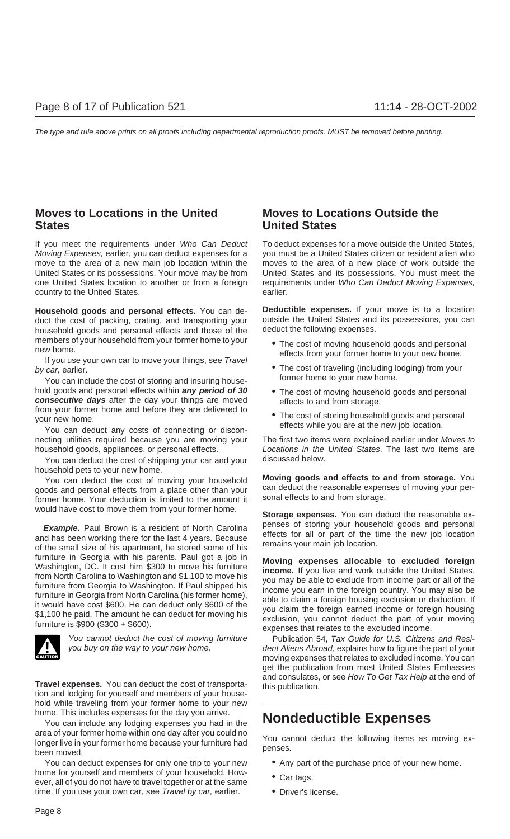## **Moves to Locations in the United Moves to Locations Outside the States United States**

If you meet the requirements under Who Can Deduct To deduct expenses for a move outside the United States, Moving Expenses, earlier, you can deduct expenses for a you must be a United States citizen or resident alien who move to the area of a new main job location within the moves to the area of a new place of work outside the United States or its possessions. Your move may be from United States and its possessions. You must meet the one United States location to another or from a foreign requirements under Who Can Deduct Moving Expenses, country to the United States. The country to the United States.

duct the cost of packing, crating, and transporting your outside the United States and household goods and personal effects and those of the deduct the following expenses. household goods and personal effects and those of the members of your household from your former home to your<br>new home.<br>If you use your own car to move your things, see Travel<br>If you use your own car to move your things, see Travel

You can include the cost of storing and insuring household goods and personal effects within **any period of 30** • The cost of moving household goods and personal **consecutive days** after the day your things are moved effects to and from storage. from your former home and before they are delivered to **•** The cost of storing household goods and personal your new home. You can deduct any costs of connecting or discon-<br>You can deduct any costs of connecting or discon-

necting utilities required because you are moving your The first two items were explained earlier under Moves to household goods, appliances, or personal effects. Locations in the United States. The last two items are

You can deduct the cost of shipping your car and your discussed below. household pets to your new home.

goods and personal effects from a place other than your can deduct the reasonable expense form a place other than your sonal effects to and from storage. would have cost to move them from your former home. **Storage expenses.** You can deduct the reasonable ex-

**Example.** Paul Brown is a resident of North Carolina penses of storing your household goods and personal and has been working there for the last 4 years. Because of the small size of his apartment, he stored some of his Furniture in Georgia with his parents. Paul got a job in<br>
Washington, DC. It cost him \$300 to move his furniture<br>
from North Carolina to Washington and \$1,100 to move his<br>
furniture from Georgia to Washington. If Paul ship



**Travel expenses.** You can deduct the cost of transporta-<br>tion and lodging for yourself and members of your household while traveling from your former home to your new home. This includes expenses for the day you arrive.

area of your former home within one day after you could no<br>longer live in your former home because your furniture had penses.<br>penses.

You can deduct expenses for only one trip to your new • Any part of the purchase price of your new home. home for yourself and members of your household. How-<br>ever, all of you do not have to travel together or at the same<br>over, all of you do not have to travel together or at the same time. If you use your own car, see Travel by car, earlier. • Driver's license.

**Household goods and personal effects.** You can de-<br>duct the cost of packing crating and transporting your outside the United States and its possessions, you can

- 
- by car, earlier.<br>
by car, earlier.<br>
You can include the cost of stating and incuring house former home to your new home.
	-
	-

You can deduct the cost of moving your household **Moving goods and effects to and from storage.** You

You cannot deduct the cost of moving furniture Publication 54, Tax Guide for U.S. Citizens and Resiyou buy on the way to your new home. dent Aliens Abroad, explains how to figure the part of your moving expenses that relates to excluded income. You can get the publication from most United States Embassies and consulates, or see How To Get Tax Help at the end of

## You can include any lodging expenses you had in the **Nondeductible Expenses**

- 
- 
-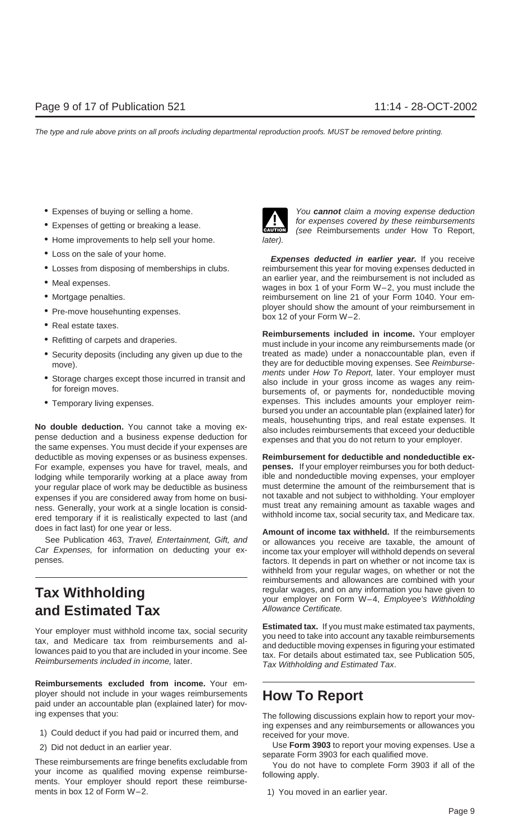- 
- 
- Home improvements to help sell your home. *later)*.
- 
- 
- 
- 
- 
- Real estate taxes.
- 
- 
- 
- 

**No double deduction.** You cannot take a moving ex-<br>pense deduction and a business expense deduction for<br>the same expenses. You must decide if your expenses are deductible as moving expenses or as business expenses. **Reimbursement for deductible and nondeductible ex-**For example, expenses you have for travel, meals, and **penses.** If your employer reimburses you for both deduct-<br>lodging while temporarily working at a place away from ible and nondeductible moving expenses, your employer lodging while temporarily working at a place away from ible and nondeductible moving expenses, your employer<br>vour requilar place of work may be deductible as business must determine the amount of the reimbursement that is your regular place of work may be deductible as business expenses if you are considered away from home on busi-<br>ness. Generally vour work at a single location is consid-<br>must treat any remaining amount as taxable wages and ness. Generally, your work at a single location is consid-<br>ered temporary if it is realistically expected to last (and withhold income tax, social security tax, and Medicare tax. does in fact last) for one year or less. **Amount of income tax withheld.** If the reimbursements

See Publication 463, Travel, Entertainment, Gift, and or allowances you receive are taxable, the amount of Car Expenses, for information on deducting your ex-<br>Car Expenses, for information on deducting your ex- income tax

# **and Estimated Tax** Allowance Certificate.

**Reimbursements excluded from income.** Your employer should not include in your wages reimbursements **How To Report** paid under an accountable plan (explained later) for moving expenses that you: The following discussions explain how to report your mov-

- 
- 

These reimbursements are fringe benefits excludable from<br>your income as qualified moving expense reimburse-<br>ments. Your employer should report these reimburse-<br>ments. Your employer should report these reimbursements in box 12 of Form W-2. 1) You moved in an earlier year.



• Expenses of buying or selling a home. You **cannot** claim a moving expense deduction • Expenses of getting or breaking a lease.<br> **CAUTION** (see Reimbursements under How To Report,

• Loss on the sale of your home. **Expenses deducted in earlier year.** If you receive • Losses from disposing of memberships in clubs. reimbursement this year for moving expenses deducted in an earlier year, and the reimbursement is not included as • Meal expenses. wages in box 1 of your Form W–2, you must include the • Mortgage penalties. The state of the control of the 21 of your Form 1040. Your em-■ Pre-move househunting expenses. <br>
box 12 of your Form W–2.

• Refitting of carpets and draperies. **Example 19 and Comes Preimbursements included in income.** Your employer<br>must include in your income any reimbursements made (or • Security deposits (including any given up due to the treated as made) under a nonaccountable plan, even if move). they are for deductible moving expenses. See Reimburse-<br>ments under How To Report, later. Your employer must • Storage charges except those incurred in transit and<br>for foreign moves.<br>bursements of, or payments for, nondeductible moving • Temporary living expenses. expenses. This includes amounts your employer reimbursed you under an accountable plan (explained later) for

income tax your employer will withhold depends on several penses. factors. It depends in part on whether or not income tax is withheld from your regular wages, on whether or not the reimbursements and allowances are combined with your **Tax Withholding Tax Withholding Tax Withholding Tax Withholding** *your employer on Form W–4, Employee's Withholding* 

Your employer must withhold income tax, social security<br>tax, and Medicare tax from reimbursements and allowances paid to you that are included in your income. See<br>Reimbursements included in income, later.<br>Tax Withholding a

ing expenses and any reimbursements or allowances you<br>1) Could deduct if you had paid or incurred them, and received for your move.

2) Did not deduct in an earlier year. Use **Form 3903** to report your moving expenses. Use a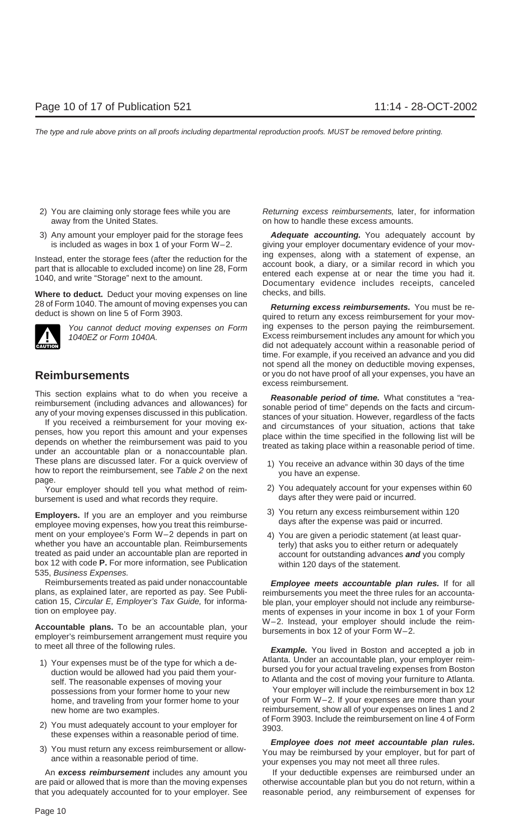- away from the United States.  $\qquad \qquad \text{on how to handle these excess amounts.}$
- 

Where to deduct. Deduct your moving expenses on line checks, and bills. 28 of Form 1040. The amount of moving expenses you can **Returning excess reimbursements.** You must be re-



These plans are discussed later. For a quick overview of  $\frac{1}{1}$  You receive an advance within 30 days of the time how to report the reimbursement, see Table 2 on the next you have an expense. page.

bursement is used and what records they require.

**Employers.** If you are an employer and you reimburse and you return any excess reimbursement within 120 employee moving expenses, how you treat this reimburse-<br>employee moving expenses, how you treat this reimbursement on your employee's Form W-2 depends in part on 4) You are given a periodic statement (at least quarwhether you have an accountable plan. Reimbursements terly) that asks you to either return or adequately treated as paid under an accountable plan are reported in account for outstanding advances **and** you comply box 12 with code P. For more information, see Publication within 120 days of the statement. 535, Business Expenses.

plans, as explained later, are reported as pay. See Publi-<br>cation 15, *Circular E, Employer's Tax Guide*, for informa-<br>ble plan, your employer should not include any reimbursecation 15, Circular E, Employer's Tax Guide, for informa-<br>ments of expenses in your income in box 1 of your Form<br>ments of expenses in your income in box 1 of your Form

to meet all three of the following rules. **Example.** You lived in Boston and accepted a job in

- 
- 2) You must adequately account to your employer for  $\frac{3903}{3903}$ . these expenses within a reasonable period of time.
- 

2) You are claiming only storage fees while you are Returning excess reimbursements, later, for information

3) Any amount your employer paid for the storage fees **Adequate accounting.** You adequately account by is included as wages in box 1 of your Form W–2. giving your employer documentary evidence of your mov-Instead, enter the storage fees (after the reduction for the ing expenses, along with a statement of expense, an account book, a diary, or a similar record in which you<br>part that is allocable to excluded income) on line 28

quired to return any excess reimbursement for your mov-You cannot deduct moving expenses on Form ing expenses to the person paying the reimbursement. 1040EZ or Form 1040A. <sup>The r</sup> Excess reimbursement includes any amount for which you did not adequately account within a reasonable period of time. For example, if you received an advance and you did not spend all the money on deductible moving expenses, **Reimbursements** *Reimbursements Reimbursements* excess reimbursement.

This section explains what to do when you receive a<br>reimbursement (including advances and allowances) for<br>any of your moving expenses discussed in this publication.<br>If you received a reimbursement for your moving ex-<br>pense

- 
- Your employer should tell you what method of reim-<br>reament is used and what records they require days after they were paid or incurred.
	-
	-

Reimbursements treated as paid under nonaccountable **Employee meets accountable plan rules.** If for all ments of expenses in your income in box 1 of your Form Accountable plans. To be an accountable plan, your<br>employer's reimbursement arrangement must require you<br>employer's reimbursement arrangement must require you

1) Your expenses must be of the type for which a de-<br>duction would be allowed had you paid them your-<br>self. The reasonable expenses of moving your<br>to Atlanta and the cost of moving your furniture to Atlanta.

possessions from your former home to your new Your employer will include the reimbursement in box 12 home, and traveling from your former home to your of your Form W-2. If your expenses are more than your new home are two examples.<br>of Form 3903. Include the reimbursement on line 4 of Form 3903.

3) You must return any excess reimbursement or allow-<br>ance within a reasonable period of time.<br>your expenses you may not meet all three rules.<br>your expenses you may not meet all three rules.

An **excess reimbursement** includes any amount you If your deductible expenses are reimbursed under an are paid or allowed that is more than the moving expenses otherwise accountable plan but you do not return, within a that you adequately accounted for to your employer. See reasonable period, any reimbursement of expenses for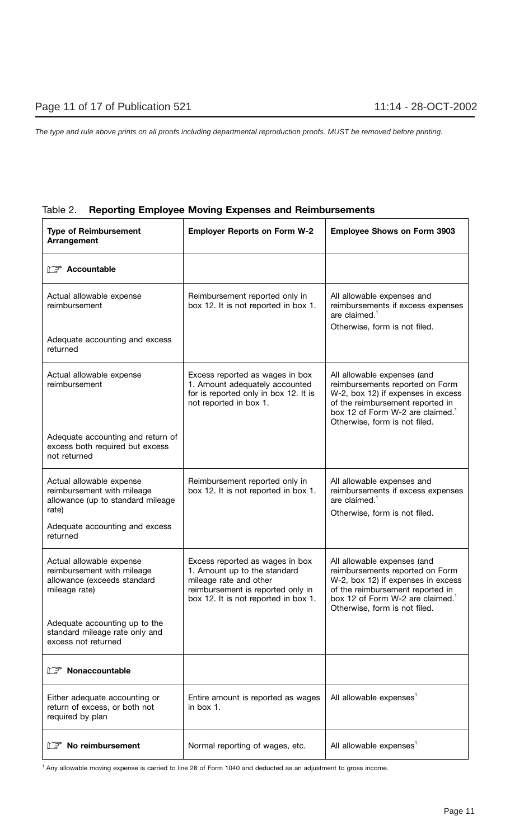## Table 2. **Reporting Employee Moving Expenses and Reimbursements**

| <b>Type of Reimbursement</b><br>Arrangement                                                                                            | <b>Employer Reports on Form W-2</b>                                                                                                                                    | <b>Employee Shows on Form 3903</b>                                                                                                                                                                                        |
|----------------------------------------------------------------------------------------------------------------------------------------|------------------------------------------------------------------------------------------------------------------------------------------------------------------------|---------------------------------------------------------------------------------------------------------------------------------------------------------------------------------------------------------------------------|
| <b>IS Accountable</b>                                                                                                                  |                                                                                                                                                                        |                                                                                                                                                                                                                           |
| Actual allowable expense<br>reimbursement<br>Adequate accounting and excess                                                            | Reimbursement reported only in<br>box 12. It is not reported in box 1.                                                                                                 | All allowable expenses and<br>reimbursements if excess expenses<br>are claimed. <sup>1</sup><br>Otherwise, form is not filed.                                                                                             |
| returned                                                                                                                               |                                                                                                                                                                        |                                                                                                                                                                                                                           |
| Actual allowable expense<br>reimbursement                                                                                              | Excess reported as wages in box<br>1. Amount adequately accounted<br>for is reported only in box 12. It is<br>not reported in box 1.                                   | All allowable expenses (and<br>reimbursements reported on Form<br>W-2, box 12) if expenses in excess<br>of the reimbursement reported in<br>box 12 of Form W-2 are claimed. <sup>1</sup><br>Otherwise, form is not filed. |
| Adequate accounting and return of<br>excess both required but excess<br>not returned                                                   |                                                                                                                                                                        |                                                                                                                                                                                                                           |
| Actual allowable expense<br>reimbursement with mileage<br>allowance (up to standard mileage<br>rate)<br>Adequate accounting and excess | Reimbursement reported only in<br>box 12. It is not reported in box 1.                                                                                                 | All allowable expenses and<br>reimbursements if excess expenses<br>are claimed. $1$<br>Otherwise, form is not filed.                                                                                                      |
| returned                                                                                                                               |                                                                                                                                                                        |                                                                                                                                                                                                                           |
| Actual allowable expense<br>reimbursement with mileage<br>allowance (exceeds standard<br>mileage rate)                                 | Excess reported as wages in box<br>1. Amount up to the standard<br>mileage rate and other<br>reimbursement is reported only in<br>box 12. It is not reported in box 1. | All allowable expenses (and<br>reimbursements reported on Form<br>W-2, box 12) if expenses in excess<br>of the reimbursement reported in<br>box 12 of Form W-2 are claimed. <sup>1</sup><br>Otherwise, form is not filed. |
| Adequate accounting up to the<br>standard mileage rate only and<br>excess not returned                                                 |                                                                                                                                                                        |                                                                                                                                                                                                                           |
| <b>IS Nonaccountable</b>                                                                                                               |                                                                                                                                                                        |                                                                                                                                                                                                                           |
| Either adequate accounting or<br>return of excess, or both not<br>required by plan                                                     | Entire amount is reported as wages<br>in box 1.                                                                                                                        | All allowable expenses <sup>1</sup>                                                                                                                                                                                       |
| <b>IF</b> No reimbursement                                                                                                             | Normal reporting of wages, etc.                                                                                                                                        | All allowable expenses <sup>1</sup>                                                                                                                                                                                       |

 $1$  Any allowable moving expense is carried to line 28 of Form 1040 and deducted as an adjustment to gross income.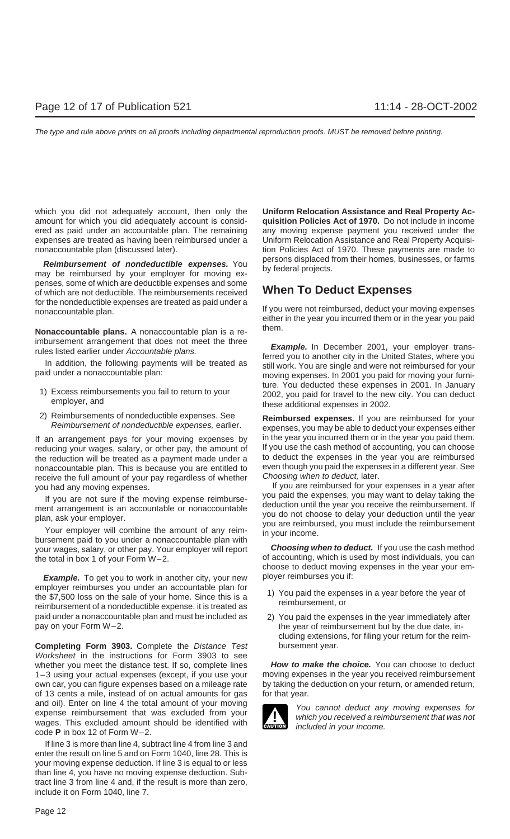which you did not adequately account, then only the **Uniform Relocation Assistance and Real Property Ac**amount for which you did adequately account is consid- **quisition Policies Act of 1970.** Do not include in income ered as paid under an accountable plan. The remaining any moving expense payment you received under the expenses are treated as having been reimbursed under a Uniform Relocation Assistance and Real Property Acquisinonaccountable plan (discussed later). the statement of 1970. These payments are made to

penses, some of which are deductible expenses and some of which are not deductible. The reimbursements received **When To Deduct Expenses** for the nondeductible expenses are treated as paid under a<br>If you were not reimbursed, deduct your moving expenses<br>either in the year you incurred them or in the year you paid

Nonaccountable plans. A nonaccountable plan is a re-<br>
<sub>them.</sub>

- 
- 

reducing your wages, salary, or other pay, the amount of If you use the cash method of accounting, you can choose<br>the reduction will be treated as a payment made under a If to deduct the expenses in the year you are reimbu the reduction will be treated as a payment made under a to deduct the expenses in the year you are reimbursed<br>nonaccountable plan. This is because you are entitled to even though you paid the expenses in a different year. nonaccountable plan. This is because you are entitled to even though you paid the expense<br>receive the full amount of your pay regardless of whether Choosing when to deduct, later. receive the full amount of your pay regardless of whether

your wages, salary, or other pay. Your employer will report **Choosing when to deduct.** If you use the cash method the total in box 1 of your Form W-2. of accounting, which is used by most individuals, you can

**Example.** To get you to work in another city, your new ployer reimburses you if: employer reimburses you under an accountable plan for<br>the \$7,500 loss on the sale of your home. Since this is a<br>reimbursement, or<br>reimbursement of a nondeductible expense, it is treated as paid under a nonaccountable plan and must be included as 2) You paid the expenses in the year immediately after pay on your Form W–2. the year of reimbursement but by the due date, in-

**Completing Form 3903.** Complete the *Distance Test* bursement year. Worksheet in the instructions for Form 3903 to see whether you meet the distance test. If so, complete lines **How to make the choice.** You can choose to deduct 1–3 using your actual expenses (except, if you use your moving expenses in the year you received reimbursement own car, you can figure expenses based on a mileage rate by taking the deduction on your return, or amended return, of 13 cents a mile, instead of on actual amounts for gas for that year. and oil). Enter on line 4 the total amount of your moving<br>expense reimbursement that was excluded from your<br>wages. This excluded amount should be identified with<br>and the included in your income. code **P** in box 12 of Form W–2.

If line 3 is more than line 4, subtract line 4 from line 3 and enter the result on line 5 and on Form 1040, line 28. This is your moving expense deduction. If line 3 is equal to or less than line 4, you have no moving expense deduction. Subtract line 3 from line 4 and, if the result is more than zero, include it on Form 1040, line 7.

**Reimbursement of nondeductible expenses.** You persons displaced from their homes, businesses, or farms may be reimbursed by your employer for moving ex-

imbursement arrangement that does not meet the three<br>rules listed earlier under *Accountable plans*.<br>In addition, the following payments will be treated as<br>paid under a nonaccountable plan:<br>paid under a nonaccountable plan ture. You deducted these expenses in 2001. In January 1) Excess reimbursements you fail to return to your 2002, you paid for travel to the new city. You can deduct employer, and these additional expenses in 2002.

2) Reimbursements of nondeductible expenses. See **Reimbursed expenses.** If you are reimbursed for your Reimbursement of nondeductible expenses, earlier. expenses, you may be able to deduct your expenses either If an arrangement pays for your moving expenses by in the year you incurred them or in the year you paid them.<br>If you use the cash method of accounting, you can choose

you had any moving expenses.<br>If you are reimbursed for your expenses in a year after<br>If you are reimbursed for you may want to delay taking the If you are not sure if the moving expense reimburse-<br>
ment arrangement is an accountable or nonaccountable<br>
plan, ask your employer.<br>
Your employer will combine the amount of any reim-<br>
bursement paid to you under a nonacc

choose to deduct moving expenses in the year your em-

- 
- cluding extensions, for filing your return for the reim-

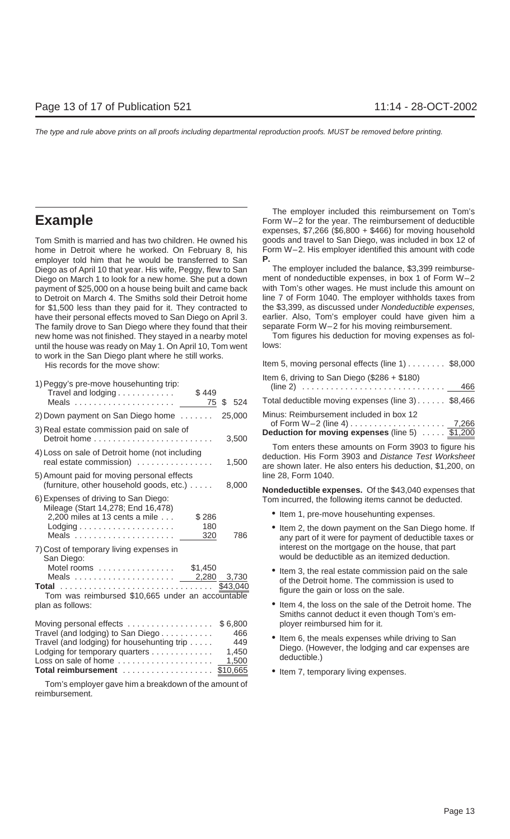home in Detroit where he worked. On February 8, his employer told him that he would be transferred to San **P.** Diego as of April 10 that year. His wife, Peggy, flew to San The employer included the balance, \$3,399 reimburse-Diego on March 1 to look for a new home. She put a down ment of nondeductible expenses, in box 1 of Form W–2<br>payment of \$25,000 on a house being built and came back with Tom's other wages. He must include this amount on payment of \$25,000 on a house being built and came back to Detroit on March 4. The Smiths sold their Detroit home line 7 of Form 1040. The employer withholds taxes from<br>for \$1,500 less than they paid for it. They contracted to the \$3,399, as discussed under Nondeductible expens for \$1,500 less than they paid for it. They contracted to the \$3,399, as discussed under Nondeductible expenses,<br>have their personal effects moved to San Diego on April 3. earlier. Also, Tom's employer could have given him have their personal effects moved to San Diego on April 3. earlier. Also, Tom's employer could have given I<br>The family drove to San Diego where they found that their separate Form W-2 for his moving reimbursement. The family drove to San Diego where they found that their separate Form W–2 for his moving reimbursement.<br>new home was not finished. They staved in a nearby motel Tom figures his deduction for moving expenses as folnew home was not finished. They stayed in a nearby motel until the house was ready on May 1. On April 10, Tom went lows: to work in the San Diego plant where he still works.

| 1) Peggy's pre-move househunting trip:<br>\$449<br>Travel and lodging                                      | $1.811$ , $2.811$ , $1.911$ , $2.811$ , $2.811$ , $2.811$ , $2.811$ , $2.811$<br>(line 2) $\ldots \ldots \ldots \ldots \ldots \ldots \ldots \ldots \ldots \ldots$ 466     |
|------------------------------------------------------------------------------------------------------------|---------------------------------------------------------------------------------------------------------------------------------------------------------------------------|
| $\mathcal{S}$<br>524<br>Meals $\ldots \ldots \ldots \ldots \ldots \ldots$<br>75                            | Total deductible moving expenses (line 3) \$8,466                                                                                                                         |
| 2) Down payment on San Diego home<br>25,000                                                                | Minus: Reimbursement included in box 12                                                                                                                                   |
| 3) Real estate commission paid on sale of<br>3,500                                                         | of Form W-2 (line 4) $\ldots \ldots \ldots \ldots \ldots \ldots 7,266$<br><b>Deduction for moving expenses</b> (line 5) \$1,200                                           |
| 4) Loss on sale of Detroit home (not including<br>1,500<br>real estate commission)                         | Tom enters these amounts on Form 3903 to figure his<br>deduction. His Form 3903 and Distance Test Worksheet<br>are shown later. He also enters his deduction, \$1,200, on |
| 5) Amount paid for moving personal effects<br>(furniture, other household goods, etc.) $\ldots$ .<br>8,000 | line 28, Form 1040.                                                                                                                                                       |
| 6) Expenses of driving to San Diego:                                                                       | Nondeductible expenses. Of the \$43,040 expenses that<br>Tom incurred, the following items cannot be deducted.                                                            |
| Mileage (Start 14,278; End 16,478)<br>\$286<br>2,200 miles at 13 cents a mile                              | • Item 1, pre-move househunting expenses.                                                                                                                                 |
| 180<br>Lodging $\ldots \ldots \ldots \ldots \ldots \ldots$<br>320<br>786                                   | • Item 2, the down payment on the San Diego home. If<br>any part of it were for payment of deductible taxes or                                                            |
| 7) Cost of temporary living expenses in<br>San Diego:                                                      | interest on the mortgage on the house, that part<br>would be deductible as an itemized deduction.                                                                         |
| Motel rooms $\dots\dots\dots\dots\dots$ \$1,450<br>3,730                                                   | • Item 3, the real estate commission paid on the sale<br>of the Detroit home. The commission is used to                                                                   |
| Tom was reimbursed \$10,665 under an accountable                                                           | figure the gain or loss on the sale.                                                                                                                                      |
| plan as follows:                                                                                           | • Item 4, the loss on the sale of the Detroit home. The<br>Smiths cannot deduct it even though Tom's em-                                                                  |
| Moving personal effects \$6,800<br>Travel (and Indring) to San Diego (166)                                 | ployer reimbursed him for it.                                                                                                                                             |

| Travel (and lodging) to San Diego                         | 466   | • Item 6, the meals expenses while driving to San |
|-----------------------------------------------------------|-------|---------------------------------------------------|
| Travel (and lodging) for house hunting trip $\dots$ .     | 449   |                                                   |
| Lodging for temporary quarters                            | 1.450 | Diego. (However, the lodging and car expenses are |
| Loss on sale of home $\ldots \ldots \ldots \ldots \ldots$ | 1.500 | deductible.)                                      |
| Total reimbursement \$10,665                              |       | • Item 7, temporary living expenses.              |

Tom's employer gave him a breakdown of the amount of reimbursement.

The employer included this reimbursement on Tom's **Example** Form W-2 for the year. The reimbursement of deductible expenses,  $$7,266 ($6,800 + $466)$  for moving household Tom Smith is married and has two children. He owned his goods and travel to San Diego, was included in box 12 of home in Detroit where he worked. On February 8, his Form W-2. His employer identified this amount with code

| to month in the ban Blogo plant miloro no other monter<br>His records for the move show: | Item 5, moving personal effects (line $1)$ \$8,000     |
|------------------------------------------------------------------------------------------|--------------------------------------------------------|
| 1) Peggy's pre-move househunting trip:<br>\$449<br>Travel and lodging                    | Item 6, driving to San Diego $(\$286 + \$180)$         |
| 75 \$ 524                                                                                | Total deductible moving expenses (line 3) \$8,466      |
| 2) Down payment on San Diego home<br>25,000                                              | Minus: Reimbursement included in box 12                |
| 3) Real estate commission paid on sale of<br>0.500<br>naturale la sua a                  | <b>Deduction for moving expenses</b> (line 5)  \$1,200 |

- $\bullet$  Item 1, pre-move househunting expenses.
- Item 2, the down payment on the San Diego home. If any part of it were for payment of deductible taxes or interest on the mortgage on the house, that part would be deductible as an itemized deduction.
- Item 3, the real estate commission paid on the sale<br>of the Detroit home. The commission is used to<br>figure the gain or loss on the sale.
- $\bullet$  Item 4, the loss on the sale of the Detroit home. The Smiths cannot deduct it even though Tom's employer reimbursed him for it.
- 
- **•** Item 7, temporary living expenses.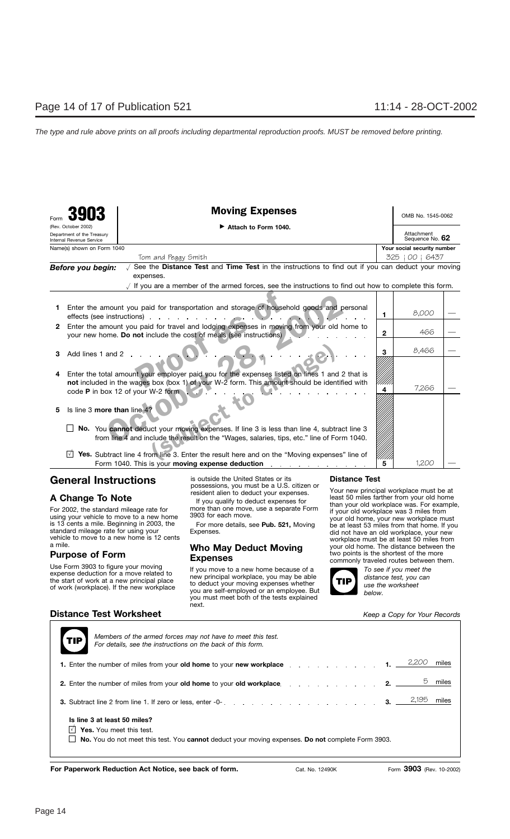| Form                                                                                                  | <b>Moving Expenses</b>      |                                                                                                                                                                                                                                             |              | OMB No. 1545-0062           |  |  |
|-------------------------------------------------------------------------------------------------------|-----------------------------|---------------------------------------------------------------------------------------------------------------------------------------------------------------------------------------------------------------------------------------------|--------------|-----------------------------|--|--|
| Attach to Form 1040.<br>(Rev. October 2002)<br>Department of the Treasury<br>Internal Revenue Service |                             | Attachment<br>Sequence No. 62                                                                                                                                                                                                               |              |                             |  |  |
|                                                                                                       | Name(s) shown on Form 1040  |                                                                                                                                                                                                                                             |              | Your social security number |  |  |
|                                                                                                       |                             | Tom and Peggy Smith                                                                                                                                                                                                                         |              | 325   00   6437             |  |  |
|                                                                                                       | Before you begin:           | See the Distance Test and Time Test in the instructions to find out if you can deduct your moving<br>expenses.                                                                                                                              |              |                             |  |  |
|                                                                                                       |                             | $\sqrt{ }$ If you are a member of the armed forces, see the instructions to find out how to complete this form.                                                                                                                             |              |                             |  |  |
| 1                                                                                                     |                             | Enter the amount you paid for transportation and storage of household goods and personal<br>effects (see instructions) example.                                                                                                             |              | 8,000                       |  |  |
|                                                                                                       |                             | Enter the amount you paid for travel and lodging expenses in moving from your old home to<br>your new home. Do not include the cost of meals (see instructions)                                                                             | $\mathbf{2}$ | 466                         |  |  |
| з                                                                                                     | Add lines 1 and 2           |                                                                                                                                                                                                                                             | 3            | 8,466                       |  |  |
|                                                                                                       |                             | Enter the total amount your employer paid you for the expenses listed on lines 1 and 2 that is<br>not included in the wages box (box 1) of your W-2 form. This amount should be identified with<br>code <b>P</b> in box 12 of your W-2 form |              | 7,266                       |  |  |
| 5                                                                                                     | Is line 3 more than line 4? | No. You cannot deduct your moving expenses. If line 3 is less than line 4, subtract line 3                                                                                                                                                  |              |                             |  |  |
|                                                                                                       |                             | from line 4 and include the result on the "Wages, salaries, tips, etc." line of Form 1040.                                                                                                                                                  |              |                             |  |  |

- **3** Add lines 1 and 2
- For the expenses listed on lines 1 and<br>
box (box 1) of your W-2 form. This amount should be iden<br>
W-2 form<br>
the view of the expenses. If line 3 is less than line 4, subtr<br>
clude the result on the "Wages, salaries, tips, et Enter the total amount your employer paid you for the expenses listed on lines 1 and 2 that is **4** code **P** in box 12 of your W-2 form
- **5** Is line 3 **more than** line 4?
	- **No.** You **cannot** deduct your moving expenses. If line 3 is less than line 4, subtract line 3 from line 4 and include the result on the "Wages, salaries, tips, etc." line of Form 1040.
	- $\overrightarrow{1}$  Yes. Subtract line 4 from line 3. Enter the result here and on the "Moving expenses" line of Form 1040. This is your **moving expense deduction**

## **General Instructions**

## **A Change To Note**

For 2002, the standard mileage rate for using your vehicle to move to a new home is 13 cents a mile. Beginning in 2003, the standard mileage rate for using your vehicle to move to a new home is 12 cents a mile.

## **Purpose of Form**

Use Form 3903 to figure your moving expense deduction for a move related to the start of work at a new principal place of work (workplace). If the new workplace is outside the United States or its possessions, you must be a U.S. citizen or resident alien to deduct your expenses.

If you qualify to deduct expenses for more than one move, use a separate Form 3903 for each move.

For more details, see **Pub. 521,** Moving **Expenses** 

## **Who May Deduct Moving Expenses**

If you move to a new home because of a new principal workplace, you may be able to deduct your moving expenses whether you are self-employed or an employee. But you must meet both of the tests explained next.

### **Distance Test**

Your new principal workplace must be at least 50 miles farther from your old home than your old workplace was. For example, if your old workplace was 3 miles from your old home, your new workplace must be at least 53 miles from that home. If you did not have an old workplace, your new workplace must be at least 50 miles from your old home. The distance between the two points is the shortest of the more commonly traveled routes between them.

**5**

—

1,200



*To see if you meet the distance test, you can use the worksheet below.*

*Keep a Copy for Your Records*

## **Distance Test Worksheet**

| Members of the armed forces may not have to meet this test.<br><b>TIP</b><br>For details, see the instructions on the back of this form.                             |            |
|----------------------------------------------------------------------------------------------------------------------------------------------------------------------|------------|
| <b>1.</b> Enter the number of miles from your <b>old home</b> to your <b>new workplace</b> 1. $2,200$                                                                | miles      |
|                                                                                                                                                                      | 5<br>miles |
|                                                                                                                                                                      | miles      |
| Is line 3 at least 50 miles?<br>Yes. You meet this test.<br><b>No.</b> You do not meet this test. You cannot deduct your moving expenses. Do not complete Form 3903. |            |

**For Paperwork Reduction Act Notice, see back of form.** Cat. No. 12490K Form 3903 (Rev. 10-2002)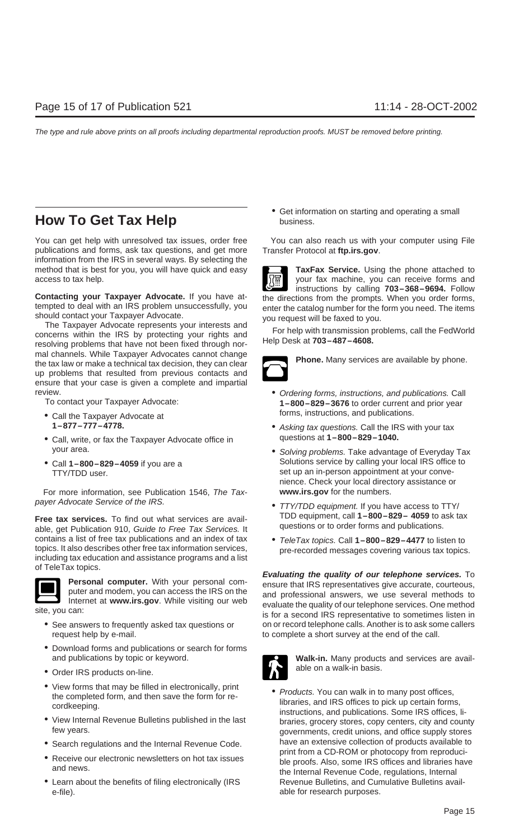## **How To Get Tax Help business.**

You can get help with unresolved tax issues, order free You can also reach us with your computer using File publications and forms, ask tax questions, and get more Transfer Protocol at **ftp.irs.gov**. information from the IRS in several ways. By selecting the access to tax help. The state of the state of the state of the state of the state of the state of the state of t

mal channels. While Taxpayer Advocates cannot change<br>the tax law or make a technical tax decision, they can clear **Phone. Many services are available by phone.** up problems that resulted from previous contacts and ensure that your case is given a complete and impartial

- 
- 
- questions at **1–800–829–1040.** Call, write, or fax the Taxpayer Advocate office in
- 

For more information, see Publication 1546, The Tax- **www.irs.gov** for the numbers. payer Advocate Service of the IRS. • TTY/TDD equipment. If you have access to TTY/

able, get Publication 910, Guide to Free Tax Services. It contains a list of free tax publications and an index of tax • TeleTax topics. Call **1–800–829–4477** to listen to topics. It also describes other free tax information services, topics. It also describes other free tax information services, pre-recorded messages covering various tax topics.<br>including tax education and assistance programs and a list



- request help by e-mail. to complete a short survey at the end of the call.
- Download forms and publications or search for forms and publications by topic or keyword. **Walk-in.** Many products and services are avail-
- Order IRS products on-line.  $\bullet$  able on a walk-in basis.
- 
- 
- 
- 
- Learn about the benefits of filing electronically (IRS Revenue Bulletins, and Cumulative Bulletins availe-file). **able for research purposes.** Able for research purposes.

• Get information on starting and operating a small

method that is best for you, you will have quick and easy **TaxFax Service.** Using the phone attached to access to tax help.<br>  $\begin{array}{ccc}\n & \text{max-Fax} & \text{Service.} & \text{Using the phone attached to your fax machine, you can receive forms and instructions by calling 703, 259, 0604, 0001, 0001, 0001, 0001, 0001, 000$ instructions by calling **703–368–9694.** Follow **Contacting your Taxpayer Advocate.** If you have at-<br>tempted to deal with an IRS problem unsuccessfully, you<br>should contact your Taxpayer Advocate.<br>The Taxpayer Advocate represents your interests and<br>concerns within the IR

- review.<br>To contact your Taxpayer Advocate:  $\overline{a} = \overline{a}$  and  $\overline{a} = \overline{a}$  and  $\overline{a} = \overline{a}$  and  $\overline{a} = \overline{a}$  and  $\overline{a} = \overline{a}$  and  $\overline{a} = \overline{a}$  and  $\overline{a} = \overline{a}$  and  $\overline{a} = \overline{a}$  and  $\overline{a} = \overline{a}$  and 1-800-829-3676 to order current and prior year forms, instructions, and publications. • Call the Taxpayer Advocate at
	- **1–877–777–4778. 1–877–777–4778.** Asking tax questions. Call the IRS with your tax
	- your area. • Call 1-800-829-4059 if you are a Solutions service by calling your local IRS office to TTY/TDD user. TTY/TDD user. nience. Check your local directory assistance or
- **Free tax services.** To find out what services are avail-<br> **Free tax services** and publication and *Guide to Free Tax Services* It guestions or to order forms and publications.
	-

of TeleTax topics. **Evaluating the quality of our telephone services.** To **Examplemental computer.** With your personal com-<br>
puter and modem, you can access the IRS on the<br>
Internet at www.irs.gov. While visiting our web<br>
site, you can:<br>
site, you can:<br>
site, you can. • See answers to frequently asked tax questions or on or record telephone calls. Another is to ask some callers



<ul>\n<li>View forms that may be filled in electronically, print the completed form, and then save the form for re-<br/>ordkeeping.</li>\n<li>View Internal Revenue Bulletins published in the last<br/>to View Internal Revenue Bulletins published in the last</li>\n<li>Value of the image.</li>\n<li>Value of the image.</li>\n<li>Value of the image.</li>\n<li>Value of the image.</li>\n<li>Value of the image.</li>\n<li>Value of the image.</li>\n<li>Value of the image.</li>\n<li>Value of the image.</li>\n<li>Value of the image.</li>\n<li>Value of the image.</li>\n<li>Value of the image.</li>\n<li>Value of the image.</li>\n<li>Value of the image.</li>\n<li>Value of the image.</li>\n<li>Value of the image.</li>\n<li>Value of few years. governments, credit unions, and office supply stores • Search regulations and the Internal Revenue Code. have an extensive collection of products available to print from a CD-ROM or photocopy from reproduci-• Receive our electronic newsletters on hot tax issues<br>and news.<br>the Internal Revenue Code, regulations, Internal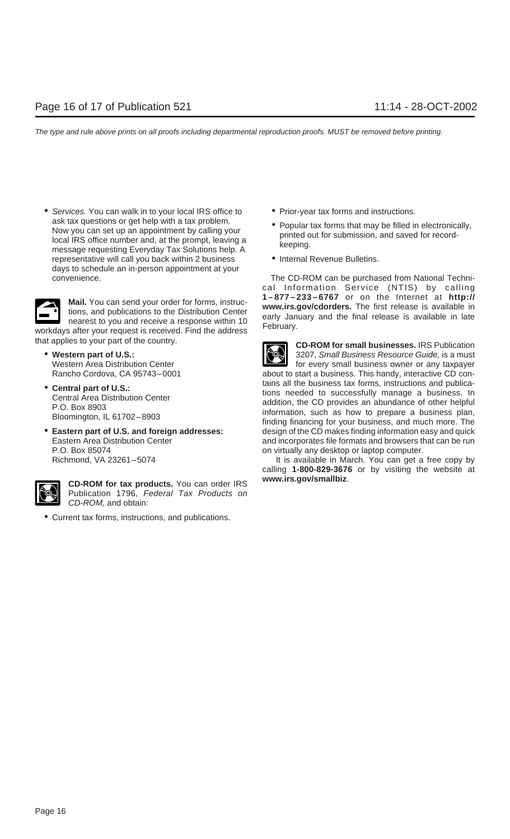• Services. You can walk in to your local IRS office to • Prior-year tax forms and instructions. ask tax questions or get help with a tax problem.<br>
Now you can set up an appointment by calling your<br>
local IRS office number and, at the prompt, leaving a<br>
message requesting Everyday Tax Solutions help. A<br>
Meeping. representative will call you back within 2 business • Internal Revenue Bulletins. days to schedule an in-person appointment at your



that applies to your part of the country.<br> **CD-ROM for small businesses.** IRS Publication

- 
- 
- P.O. Box 85074 on virtually any desktop or laptop computer.

**www.irs.gov/smallbiz**. **CD-ROM for tax products.** You can order IRS Publication 1796, Federal Tax Products on CD-ROM, and obtain:

• Current tax forms, instructions, and publications.

- 
- 
- 

convenience. The CD-ROM can be purchased from National Technical Information Service (NTIS) by calling<br>1-877-233-6767 or on the Internet at http:// Mail. You can send your order for forms, instructions, and publications to the Distribution Center<br>tions, and publications to the Distribution Center<br>nearest to you and receive a response within 10<br>workdays after your requ

• Western part of U.S.: **3207, Small Business Resource Guide, is a must 3207**, Small Business Resource Guide, is a must Western Area Distribution Center for the forest and the state of every small business owner or any taxpayer Rancho Cordova, CA 95743-0001 **about to start a business.** This handy, interactive CD con-• **Central part of U.S.:**<br>
Central Area Distribution Center<br>
P.O. Box 8903<br>
Bloomington, IL 61702–8903<br>
Bloomington, IL 61702–8903<br>
Electron and publications needed to successfully manage a business. In<br>
information, the C • **Eastern part of U.S. and foreign addresses:** design of the CD makes finding information easy and quick Eastern Area Distribution Center and incorporates file formats and browsers that can be run

Richmond, VA 23261-5074 **It is available in March. You can get a free copy by** calling **1-800-829-3676** or by visiting the website at